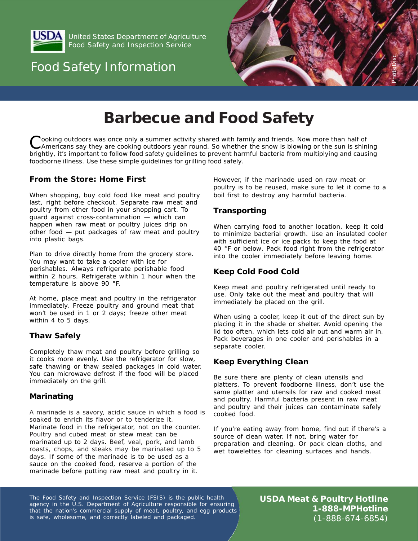

**SDA** United States Department of Agriculture Food Safety and Inspection Service

## Food Safety Information



# **Barbecue and Food Safety**

*Cooking outdoors was once only a summer activity shared with family and friends. Now more than half of Americans say they are cooking outdoors year round. So whether the snow is blowing or the sun is shining brightly, it's important to follow food safety guidelines to prevent harmful bacteria from multiplying and causing foodborne illness. Use these simple guidelines for grilling food safely.*

#### **From the Store: Home First**

When shopping, buy cold food like meat and poultry last, right before checkout. Separate raw meat and poultry from other food in your shopping cart. To guard against cross-contamination — which can happen when raw meat or poultry juices drip on other food — put packages of raw meat and poultry into plastic bags.

Plan to drive directly home from the grocery store. You may want to take a cooler with ice for perishables. Always refrigerate perishable food within 2 hours. Refrigerate within 1 hour when the temperature is above 90 °F.

At home, place meat and poultry in the refrigerator immediately. Freeze poultry and ground meat that won't be used in 1 or 2 days; freeze other meat within 4 to 5 days.

#### **Thaw Safely**

Completely thaw meat and poultry before grilling so it cooks more evenly. Use the refrigerator for slow, safe thawing or thaw sealed packages in cold water. You can microwave defrost if the food will be placed immediately on the grill.

#### **Marinating**

A marinade is a savory, acidic sauce in which a food is soaked to enrich its flavor or to tenderize it. Marinate food in the refrigerator, not on the counter. Poultry and cubed meat or stew meat can be marinated up to 2 days. Beef, veal, pork, and lamb roasts, chops, and steaks may be marinated up to 5 days. If some of the marinade is to be used as a sauce on the cooked food, reserve a portion of the marinade before putting raw meat and poultry in it.

However, if the marinade used on raw meat or poultry is to be reused, make sure to let it come to a boil first to destroy any harmful bacteria.

#### **Transporting**

When carrying food to another location, keep it cold to minimize bacterial growth. Use an insulated cooler with sufficient ice or ice packs to keep the food at 40 °F or below. Pack food right from the refrigerator into the cooler immediately before leaving home.

#### **Keep Cold Food Cold**

Keep meat and poultry refrigerated until ready to use. Only take out the meat and poultry that will immediately be placed on the grill.

When using a cooler, keep it out of the direct sun by placing it in the shade or shelter. Avoid opening the lid too often, which lets cold air out and warm air in. Pack beverages in one cooler and perishables in a separate cooler.

#### **Keep Everything Clean**

Be sure there are plenty of clean utensils and platters. To prevent foodborne illness, don't use the same platter and utensils for raw and cooked meat and poultry. Harmful bacteria present in raw meat and poultry and their juices can contaminate safely cooked food.

If you're eating away from home, find out if there's a source of clean water. If not, bring water for preparation and cleaning. Or pack clean cloths, and wet towelettes for cleaning surfaces and hands.

The Food Safety and Inspection Service (FSIS) is the public health agency in the U.S. Department of Agriculture responsible for ensuring that the nation's commercial supply of meat, poultry, and egg products is safe, wholesome, and correctly labeled and packaged.

**USDA Meat & Poultry Hotline 1-888-MPHotline** (1-888-674-6854)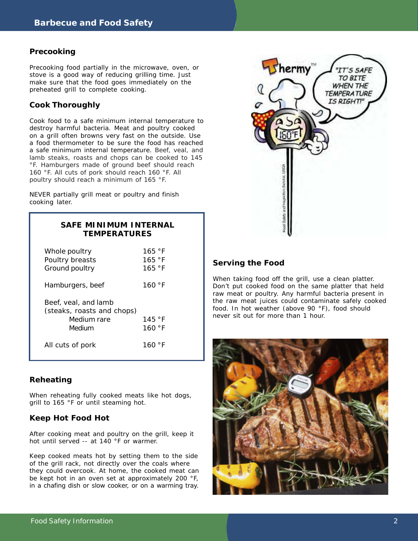#### **Precooking**

Precooking food partially in the microwave, oven, or stove is a good way of reducing grilling time. Just make sure that the food goes immediately on the preheated grill to complete cooking.

#### **Cook Thoroughly**

Cook food to a safe minimum internal temperature to destroy harmful bacteria. Meat and poultry cooked on a grill often browns very fast on the outside. Use a food thermometer to be sure the food has reached a safe minimum internal temperature. Beef, veal, and lamb steaks, roasts and chops can be cooked to 145 °F. Hamburgers made of ground beef should reach 160 °F. All cuts of pork should reach 160 °F. All poultry should reach a minimum of 165 °F.

NEVER partially grill meat or poultry and finish cooking later.

| <b>SAFE MINIMUM INTERNAL</b><br><b>TEMPERATURES</b> |                            |
|-----------------------------------------------------|----------------------------|
| Whole poultry<br>Poultry breasts<br>Ground poultry  | 165 °F<br>165 °F<br>165 °F |
| Hamburgers, beef                                    | 160 °F                     |

Beef, veal, and lamb (steaks, roasts and chops) Medium rare 145 °F Medium 160 °F All cuts of pork 160 °F

#### **Reheating**

When reheating fully cooked meats like hot dogs, grill to 165 °F or until steaming hot.

#### **Keep Hot Food Hot**

After cooking meat and poultry on the grill, keep it hot until served -- at 140 °F or warmer.

Keep cooked meats hot by setting them to the side of the grill rack, not directly over the coals where they could overcook. At home, the cooked meat can be kept hot in an oven set at approximately 200 °F, in a chafing dish or slow cooker, or on a warming tray.



#### **Serving the Food**

When taking food off the grill, use a clean platter. Don't put cooked food on the same platter that held raw meat or poultry. Any harmful bacteria present in the raw meat juices could contaminate safely cooked food. In hot weather (above 90 °F), food should never sit out for more than 1 hour.